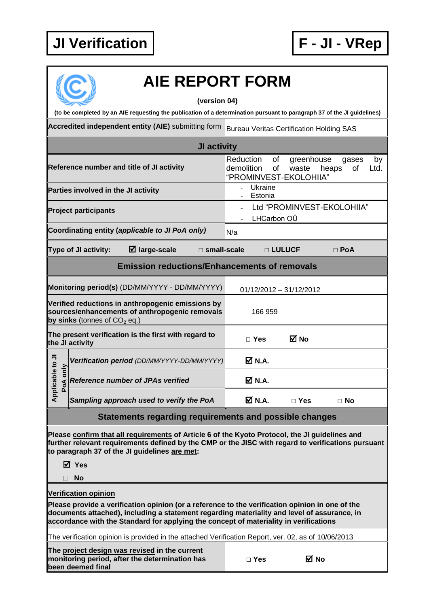## **JI Verification F - JI - VRep**



## **AIE REPORT FORM**

**(version 04)**

**(to be completed by an AIE requesting the publication of a determination pursuant to paragraph 37 of the JI guidelines)**

**Accredited independent entity (AIE)** submitting form Bureau Veritas Certification Holding SAS

| of<br>Reduction<br>greenhouse<br>by<br>gases<br>Reference number and title of JI activity<br>demolition<br>of<br>of<br>Ltd.<br>waste<br>heaps<br>"PROMINVEST-EKOLOHIIA"<br>Ukraine<br>Parties involved in the JI activity<br>Estonia<br>Ltd "PROMINVEST-EKOLOHIIA"<br><b>Project participants</b><br>LHCarbon OÜ<br>Coordinating entity (applicable to JI PoA only)<br>N/a<br>$\boxtimes$ large-scale<br>Type of JI activity:<br>$\square$ small-scale<br>□ LULUCF<br>$\Box$ PoA<br><b>Emission reductions/Enhancements of removals</b><br>Monitoring period(s) (DD/MM/YYYY - DD/MM/YYYY)<br>01/12/2012 - 31/12/2012<br>Verified reductions in anthropogenic emissions by<br>sources/enhancements of anthropogenic removals<br>166 959<br>by sinks (tonnes of CO <sub>2</sub> eq.)<br>The present verification is the first with regard to<br>⊠ No<br>$\Box$ Yes |
|------------------------------------------------------------------------------------------------------------------------------------------------------------------------------------------------------------------------------------------------------------------------------------------------------------------------------------------------------------------------------------------------------------------------------------------------------------------------------------------------------------------------------------------------------------------------------------------------------------------------------------------------------------------------------------------------------------------------------------------------------------------------------------------------------------------------------------------------------------------|
|                                                                                                                                                                                                                                                                                                                                                                                                                                                                                                                                                                                                                                                                                                                                                                                                                                                                  |
|                                                                                                                                                                                                                                                                                                                                                                                                                                                                                                                                                                                                                                                                                                                                                                                                                                                                  |
|                                                                                                                                                                                                                                                                                                                                                                                                                                                                                                                                                                                                                                                                                                                                                                                                                                                                  |
|                                                                                                                                                                                                                                                                                                                                                                                                                                                                                                                                                                                                                                                                                                                                                                                                                                                                  |
|                                                                                                                                                                                                                                                                                                                                                                                                                                                                                                                                                                                                                                                                                                                                                                                                                                                                  |
|                                                                                                                                                                                                                                                                                                                                                                                                                                                                                                                                                                                                                                                                                                                                                                                                                                                                  |
|                                                                                                                                                                                                                                                                                                                                                                                                                                                                                                                                                                                                                                                                                                                                                                                                                                                                  |
|                                                                                                                                                                                                                                                                                                                                                                                                                                                                                                                                                                                                                                                                                                                                                                                                                                                                  |
| the JI activity                                                                                                                                                                                                                                                                                                                                                                                                                                                                                                                                                                                                                                                                                                                                                                                                                                                  |
| <b>☑</b> N.A.<br>Verification period (DD/MM/YYYY-DD/MM/YYYY)                                                                                                                                                                                                                                                                                                                                                                                                                                                                                                                                                                                                                                                                                                                                                                                                     |
| Applicable to JI<br>only<br>$\overline{\mathsf{M}}$ N.A.<br><b>Reference number of JPAs verified</b><br>PoA                                                                                                                                                                                                                                                                                                                                                                                                                                                                                                                                                                                                                                                                                                                                                      |
| <b>☑ N.A.</b><br>Sampling approach used to verify the PoA<br>$\Box$ Yes<br>$\Box$ No                                                                                                                                                                                                                                                                                                                                                                                                                                                                                                                                                                                                                                                                                                                                                                             |

**Statements regarding requirements and possible changes**

**Please confirm that all requirements of Article 6 of the Kyoto Protocol, the JI guidelines and further relevant requirements defined by the CMP or the JISC with regard to verifications pursuant to paragraph 37 of the JI guidelines are met:**

**Yes**

**No**

**Verification opinion**

**Please provide a verification opinion (or a reference to the verification opinion in one of the documents attached), including a statement regarding materiality and level of assurance, in accordance with the Standard for applying the concept of materiality in verifications**

The verification opinion is provided in the attached Verification Report, ver. 02, as of 10/06/2013

**The project design was revised in the current monitoring period, after the determination has been deemed final**

| Yes |
|-----|
|-----|

**□ Yes No**